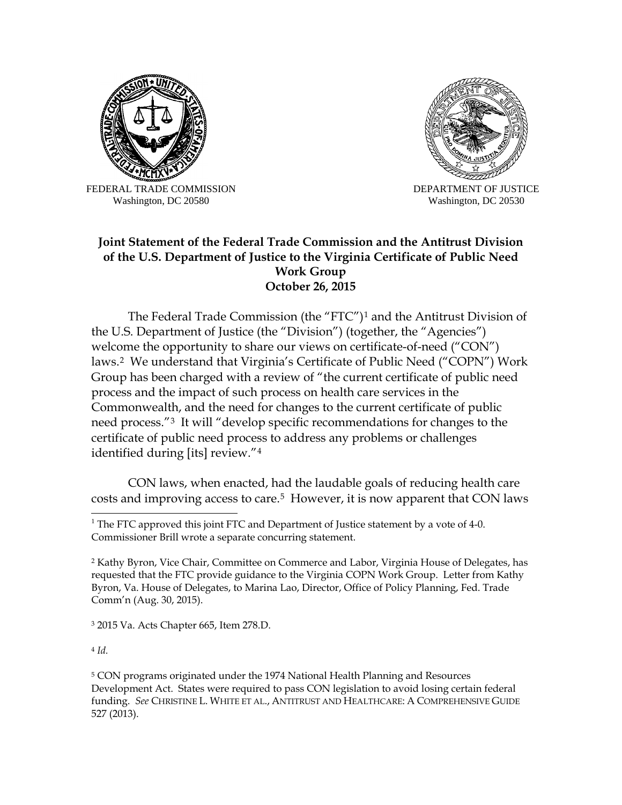

FEDERAL TRADE COMMISSION Washington, DC 20580



DEPARTMENT OF JUSTICE Washington, DC 20530

## **Joint Statement of the Federal Trade Commission and the Antitrust Division of the U.S. Department of Justice to the Virginia Certificate of Public Need Work Group October 26, 2015**

The Federal Trade Commission (the "FTC")[1](#page-0-0) and the Antitrust Division of the U.S. Department of Justice (the "Division") (together, the "Agencies") welcome the opportunity to share our views on certificate-of-need ("CON") laws.[2](#page-0-1) We understand that Virginia's Certificate of Public Need ("COPN") Work Group has been charged with a review of "the current certificate of public need process and the impact of such process on health care services in the Commonwealth, and the need for changes to the current certificate of public need process."[3](#page-0-2) It will "develop specific recommendations for changes to the certificate of public need process to address any problems or challenges identified during [its] review."[4](#page-0-3)

CON laws, when enacted, had the laudable goals of reducing health care costs and improving access to care.<sup>[5](#page-0-4)</sup> However, it is now apparent that CON laws

<span id="page-0-2"></span><sup>3</sup> 2015 Va. Acts Chapter 665, Item 278.D.

<span id="page-0-3"></span><sup>4</sup> *Id.*

<span id="page-0-4"></span><sup>5</sup> CON programs originated under the 1974 National Health Planning and Resources Development Act. States were required to pass CON legislation to avoid losing certain federal funding. *See* CHRISTINE L. WHITE ET AL., ANTITRUST AND HEALTHCARE: A COMPREHENSIVE GUIDE 527 (2013).

<span id="page-0-0"></span> $1$  The FTC approved this joint FTC and Department of Justice statement by a vote of 4-0. Commissioner Brill wrote a separate concurring statement.

<span id="page-0-1"></span><sup>2</sup> Kathy Byron, Vice Chair, Committee on Commerce and Labor, Virginia House of Delegates, has requested that the FTC provide guidance to the Virginia COPN Work Group. Letter from Kathy Byron, Va. House of Delegates, to Marina Lao, Director, Office of Policy Planning, Fed. Trade Comm'n (Aug. 30, 2015).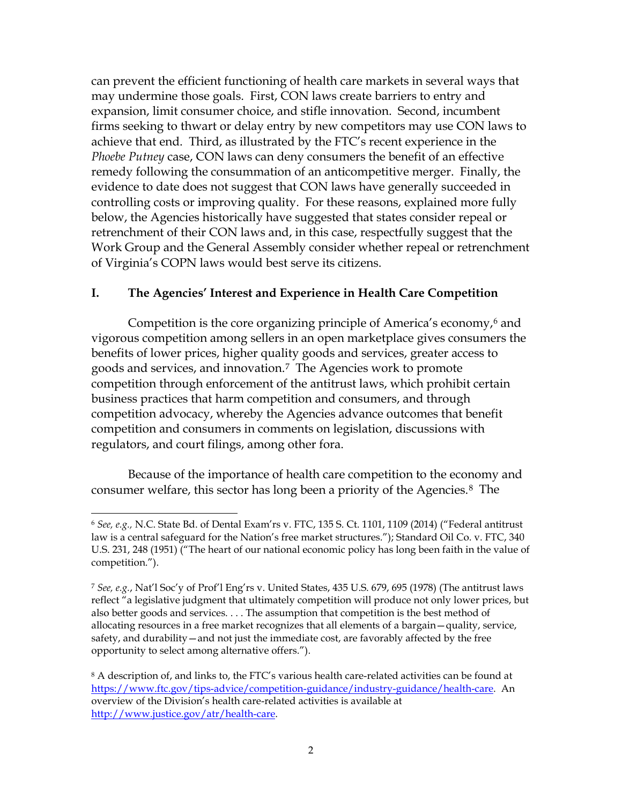can prevent the efficient functioning of health care markets in several ways that may undermine those goals. First, CON laws create barriers to entry and expansion, limit consumer choice, and stifle innovation. Second, incumbent firms seeking to thwart or delay entry by new competitors may use CON laws to achieve that end. Third, as illustrated by the FTC's recent experience in the *Phoebe Putney* case, CON laws can deny consumers the benefit of an effective remedy following the consummation of an anticompetitive merger. Finally, the evidence to date does not suggest that CON laws have generally succeeded in controlling costs or improving quality. For these reasons, explained more fully below, the Agencies historically have suggested that states consider repeal or retrenchment of their CON laws and, in this case, respectfully suggest that the Work Group and the General Assembly consider whether repeal or retrenchment of Virginia's COPN laws would best serve its citizens.

## **I. The Agencies' Interest and Experience in Health Care Competition**

Competition is the core organizing principle of America's economy, $6$  and vigorous competition among sellers in an open marketplace gives consumers the benefits of lower prices, higher quality goods and services, greater access to goods and services, and innovation.7 The Agencies work to promote competition through enforcement of the antitrust laws, which prohibit certain business practices that harm competition and consumers, and through competition advocacy, whereby the Agencies advance outcomes that benefit competition and consumers in comments on legislation, discussions with regulators, and court filings, among other fora.

Because of the importance of health care competition to the economy and consumer welfare, this sector has long been a priority of the Agencies.8 The

 $\overline{a}$ <sup>6</sup> *See, e.g.,* N.C. State Bd. of Dental Exam'rs v. FTC, 135 S. Ct. 1101, 1109 (2014) ("Federal antitrust law is a central safeguard for the Nation's free market structures."); Standard Oil Co. v. FTC, 340 U.S. 231, 248 (1951) ("The heart of our national economic policy has long been faith in the value of competition.").

<sup>7</sup> *See, e.g.*, Nat'l Soc'y of Prof'l Eng'rs v. United States, 435 U.S. 679, 695 (1978) (The antitrust laws reflect "a legislative judgment that ultimately competition will produce not only lower prices, but also better goods and services. . . . The assumption that competition is the best method of allocating resources in a free market recognizes that all elements of a bargain—quality, service, safety, and durability—and not just the immediate cost, are favorably affected by the free opportunity to select among alternative offers.").

<sup>&</sup>lt;sup>8</sup> A description of, and links to, the FTC's various health care-related activities can be found at https://www.ftc.gov/tips-advice/competition-guidance/industry-guidance/health-care. An overview of the Division's health care-related activities is available at http://www.justice.gov/atr/health-care.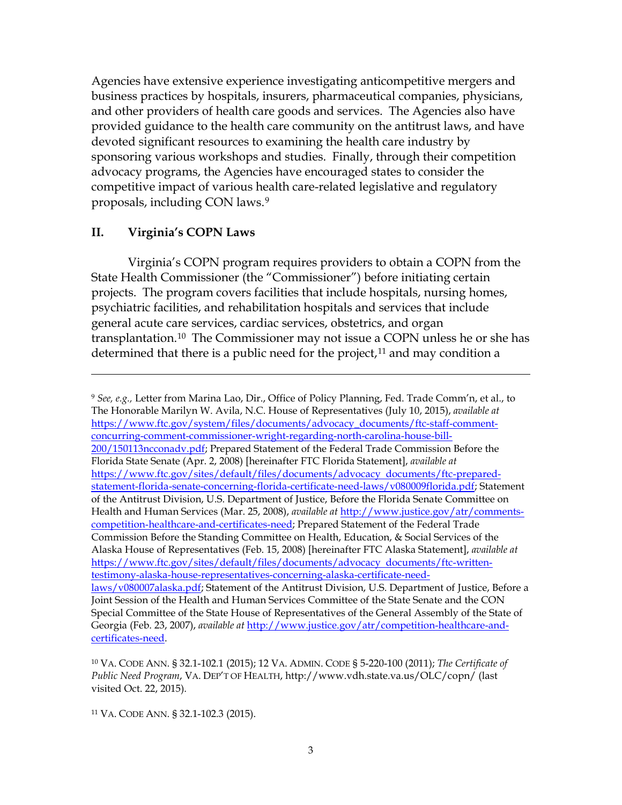Agencies have extensive experience investigating anticompetitive mergers and business practices by hospitals, insurers, pharmaceutical companies, physicians, and other providers of health care goods and services. The Agencies also have provided guidance to the health care community on the antitrust laws, and have devoted significant resources to examining the health care industry by sponsoring various workshops and studies. Finally, through their competition advocacy programs, the Agencies have encouraged states to consider the competitive impact of various health care-related legislative and regulatory proposals, including CON laws.9

### **II. Virginia's COPN Laws**

 $\overline{a}$ 

Virginia's COPN program requires providers to obtain a COPN from the State Health Commissioner (the "Commissioner") before initiating certain projects. The program covers facilities that include hospitals, nursing homes, psychiatric facilities, and rehabilitation hospitals and services that include general acute care services, cardiac services, obstetrics, and organ transplantation.10 The Commissioner may not issue a COPN unless he or she has determined that there is a public need for the project, $11$  and may condition a

<sup>9</sup> *See, e.g.,* Letter from Marina Lao, Dir., Office of Policy Planning, Fed. Trade Comm'n, et al., to The Honorable Marilyn W. Avila, N.C. House of Representatives (July 10, 2015), *available at*  https://www.ftc.gov/system/files/documents/advocacy\_documents/ftc-staff-commentconcurring-comment-commissioner-wright-regarding-north-carolina-house-bill-200/150113ncconadv.pdf; Prepared Statement of the Federal Trade Commission Before the Florida State Senate (Apr. 2, 2008) [hereinafter FTC Florida Statement], *available at*  https://www.ftc.gov/sites/default/files/documents/advocacy documents/ftc-preparedstatement-florida-senate-concerning-florida-certificate-need-laws/v080009florida.pdf; Statement of the Antitrust Division, U.S. Department of Justice, Before the Florida Senate Committee on Health and Human Services (Mar. 25, 2008), *available at* http://www.justice.gov/atr/commentscompetition-healthcare-and-certificates-need; Prepared Statement of the Federal Trade Commission Before the Standing Committee on Health, Education, & Social Services of the Alaska House of Representatives (Feb. 15, 2008) [hereinafter FTC Alaska Statement], *available at*  https://www.ftc.gov/sites/default/files/documents/advocacy documents/ftc-writtentestimony-alaska-house-representatives-concerning-alaska-certificate-needlaws/v080007alaska.pdf; Statement of the Antitrust Division, U.S. Department of Justice, Before a Joint Session of the Health and Human Services Committee of the State Senate and the CON Special Committee of the State House of Representatives of the General Assembly of the State of Georgia (Feb. 23, 2007), *available at* http://www.justice.gov/atr/competition-healthcare-andcertificates-need.

<sup>10</sup> VA. CODE ANN. § 32.1-102.1 (2015); 12 VA. ADMIN. CODE § 5-220-100 (2011); *The Certificate of Public Need Program*, VA. DEP'T OF HEALTH, http://www.vdh.state.va.us/OLC/copn/ (last visited Oct. 22, 2015).

<sup>11</sup> VA. CODE ANN. § 32.1-102.3 (2015).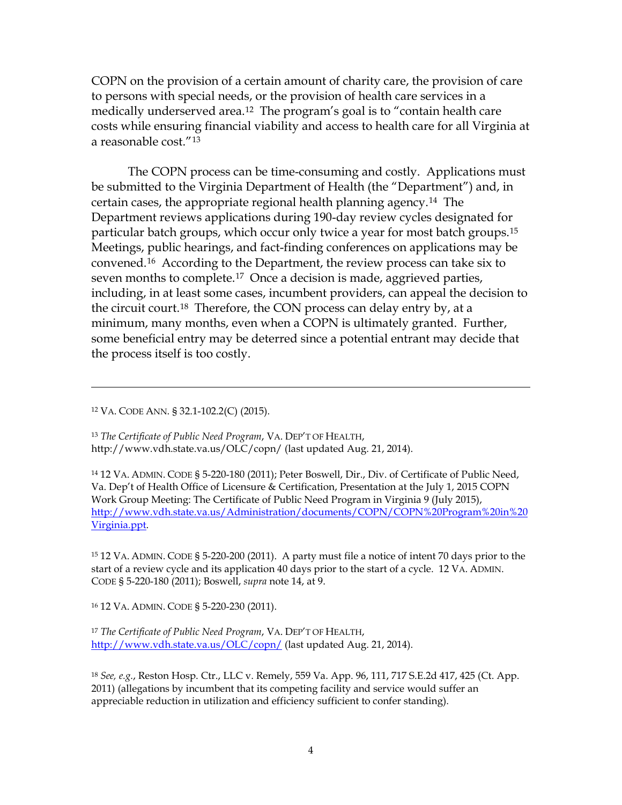COPN on the provision of a certain amount of charity care, the provision of care to persons with special needs, or the provision of health care services in a medically underserved area.12 The program's goal is to "contain health care costs while ensuring financial viability and access to health care for all Virginia at a reasonable cost."13

The COPN process can be time-consuming and costly. Applications must be submitted to the Virginia Department of Health (the "Department") and, in certain cases, the appropriate regional health planning agency.14 The Department reviews applications during 190-day review cycles designated for particular batch groups, which occur only twice a year for most batch groups.15 Meetings, public hearings, and fact-finding conferences on applications may be convened.16 According to the Department, the review process can take six to seven months to complete.<sup>17</sup> Once a decision is made, aggrieved parties, including, in at least some cases, incumbent providers, can appeal the decision to the circuit court.18 Therefore, the CON process can delay entry by, at a minimum, many months, even when a COPN is ultimately granted. Further, some beneficial entry may be deterred since a potential entrant may decide that the process itself is too costly.

<sup>12</sup> VA. CODE ANN. § 32.1-102.2(C) (2015).

 $\overline{a}$ 

<sup>13</sup> *The Certificate of Public Need Program*, VA. DEP'T OF HEALTH, http://www.vdh.state.va.us/OLC/copn/ (last updated Aug. 21, 2014).

<sup>14</sup> 12 VA. ADMIN. CODE § 5-220-180 (2011); Peter Boswell, Dir., Div. of Certificate of Public Need, Va. Dep't of Health Office of Licensure & Certification, Presentation at the July 1, 2015 COPN Work Group Meeting: The Certificate of Public Need Program in Virginia 9 (July 2015), http://www.vdh.state.va.us/Administration/documents/COPN/COPN%20Program%20in%20 Virginia.ppt.

<sup>15</sup> 12 VA. ADMIN. CODE § 5-220-200 (2011). A party must file a notice of intent 70 days prior to the start of a review cycle and its application 40 days prior to the start of a cycle. 12 VA. ADMIN. CODE § 5-220-180 (2011); Boswell, *supra* note 14, at 9.

<sup>16</sup> 12 VA. ADMIN. CODE § 5-220-230 (2011).

<sup>17</sup> *The Certificate of Public Need Program*, VA. DEP'T OF HEALTH, http://www.vdh.state.va.us/OLC/copn/ (last updated Aug. 21, 2014).

<sup>18</sup> *See, e.g.*, Reston Hosp. Ctr., LLC v. Remely, 559 Va. App. 96, 111, 717 S.E.2d 417, 425 (Ct. App. 2011) (allegations by incumbent that its competing facility and service would suffer an appreciable reduction in utilization and efficiency sufficient to confer standing).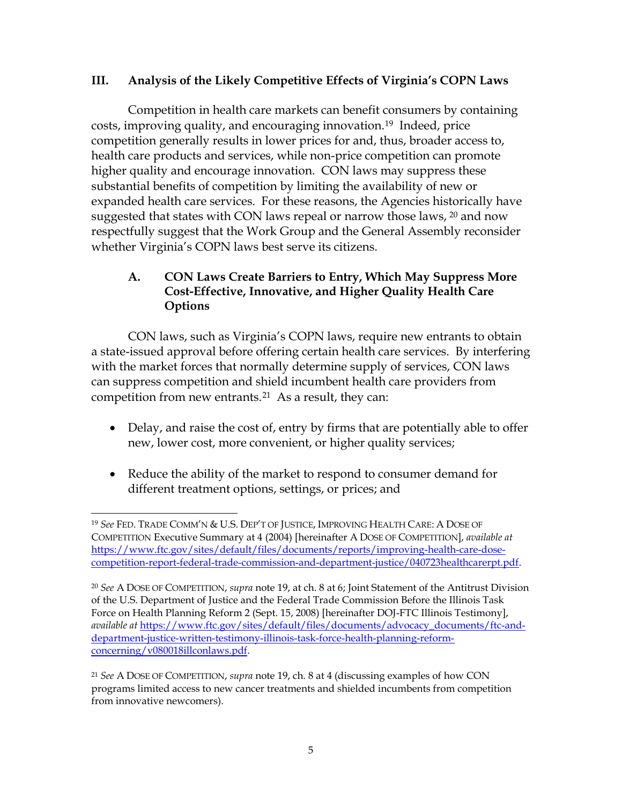## **III. Analysis of the Likely Competitive Effects of Virginia's COPN Laws**

Competition in health care markets can benefit consumers by containing costs, improving quality, and encouraging innovation.19 Indeed, price competition generally results in lower prices for and, thus, broader access to, health care products and services, while non-price competition can promote higher quality and encourage innovation. CON laws may suppress these substantial benefits of competition by limiting the availability of new or expanded health care services. For these reasons, the Agencies historically have suggested that states with CON laws repeal or narrow those laws, <sup>20</sup> and now respectfully suggest that the Work Group and the General Assembly reconsider whether Virginia's COPN laws best serve its citizens.

# **A. CON Laws Create Barriers to Entry, Which May Suppress More Cost-Effective, Innovative, and Higher Quality Health Care Options**

CON laws, such as Virginia's COPN laws, require new entrants to obtain a state-issued approval before offering certain health care services. By interfering with the market forces that normally determine supply of services, CON laws can suppress competition and shield incumbent health care providers from competition from new entrants.21 As a result, they can:

- Delay, and raise the cost of, entry by firms that are potentially able to offer new, lower cost, more convenient, or higher quality services;
- Reduce the ability of the market to respond to consumer demand for different treatment options, settings, or prices; and

 $\overline{a}$ <sup>19</sup> *See* FED. TRADE COMM'N & U.S. DEP'T OF JUSTICE, IMPROVING HEALTH CARE: A DOSE OF COMPETITION Executive Summary at 4 (2004) [hereinafter A DOSE OF COMPETITION], *available at*  https://www.ftc.gov/sites/default/files/documents/reports/improving-health-care-dosecompetition-report-federal-trade-commission-and-department-justice/040723healthcarerpt.pdf.

<sup>20</sup> *See* A DOSE OF COMPETITION, *supra* note 19, at ch. 8 at 6; Joint Statement of the Antitrust Division of the U.S. Department of Justice and the Federal Trade Commission Before the Illinois Task Force on Health Planning Reform 2 (Sept. 15, 2008) [hereinafter DOJ-FTC Illinois Testimony], *available at* https://www.ftc.gov/sites/default/files/documents/advocacy\_documents/ftc-anddepartment-justice-written-testimony-illinois-task-force-health-planning-reformconcerning/v080018illconlaws.pdf.

<sup>21</sup> *See* A DOSE OF COMPETITION, *supra* note 19, ch. 8 at 4 (discussing examples of how CON programs limited access to new cancer treatments and shielded incumbents from competition from innovative newcomers).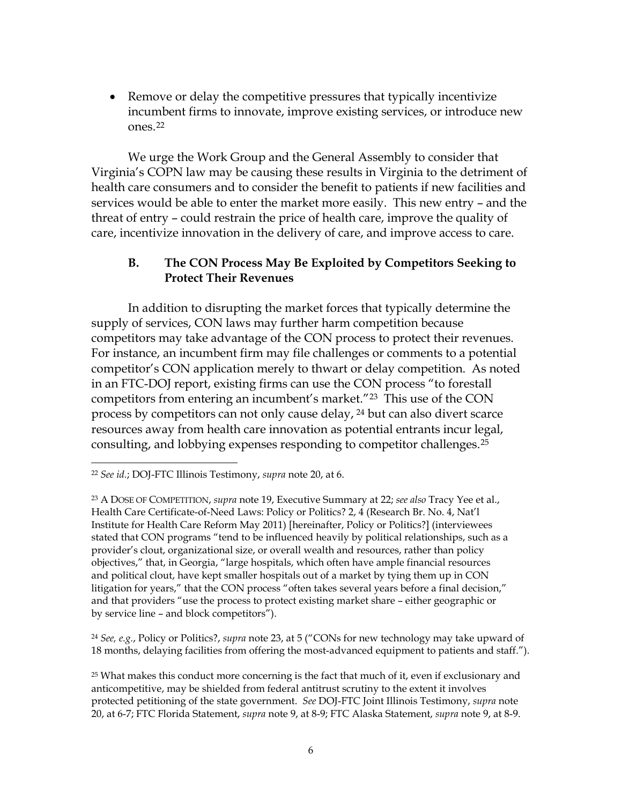• Remove or delay the competitive pressures that typically incentivize incumbent firms to innovate, improve existing services, or introduce new ones.22

We urge the Work Group and the General Assembly to consider that Virginia's COPN law may be causing these results in Virginia to the detriment of health care consumers and to consider the benefit to patients if new facilities and services would be able to enter the market more easily. This new entry – and the threat of entry – could restrain the price of health care, improve the quality of care, incentivize innovation in the delivery of care, and improve access to care.

## **B. The CON Process May Be Exploited by Competitors Seeking to Protect Their Revenues**

In addition to disrupting the market forces that typically determine the supply of services, CON laws may further harm competition because competitors may take advantage of the CON process to protect their revenues. For instance, an incumbent firm may file challenges or comments to a potential competitor's CON application merely to thwart or delay competition. As noted in an FTC-DOJ report, existing firms can use the CON process "to forestall competitors from entering an incumbent's market."23 This use of the CON process by competitors can not only cause delay, <sup>24</sup> but can also divert scarce resources away from health care innovation as potential entrants incur legal, consulting, and lobbying expenses responding to competitor challenges.25

 $\overline{a}$ 

<sup>24</sup> *See, e.g.*, Policy or Politics?, *supra* note 23, at 5 ("CONs for new technology may take upward of 18 months, delaying facilities from offering the most-advanced equipment to patients and staff.").

<sup>22</sup> *See id.*; DOJ-FTC Illinois Testimony, *supra* note 20, at 6.

<sup>23</sup> A DOSE OF COMPETITION, *supra* note 19, Executive Summary at 22; *see also* Tracy Yee et al., Health Care Certificate-of-Need Laws: Policy or Politics? 2, 4 (Research Br. No. 4, Nat'l Institute for Health Care Reform May 2011) [hereinafter, Policy or Politics?] (interviewees stated that CON programs "tend to be influenced heavily by political relationships, such as a provider's clout, organizational size, or overall wealth and resources, rather than policy objectives," that, in Georgia, "large hospitals, which often have ample financial resources and political clout, have kept smaller hospitals out of a market by tying them up in CON litigation for years," that the CON process "often takes several years before a final decision," and that providers "use the process to protect existing market share – either geographic or by service line – and block competitors").

<sup>&</sup>lt;sup>25</sup> What makes this conduct more concerning is the fact that much of it, even if exclusionary and anticompetitive, may be shielded from federal antitrust scrutiny to the extent it involves protected petitioning of the state government. *See* DOJ-FTC Joint Illinois Testimony, *supra* note 20, at 6-7; FTC Florida Statement, *supra* note 9, at 8-9; FTC Alaska Statement, *supra* note 9, at 8-9.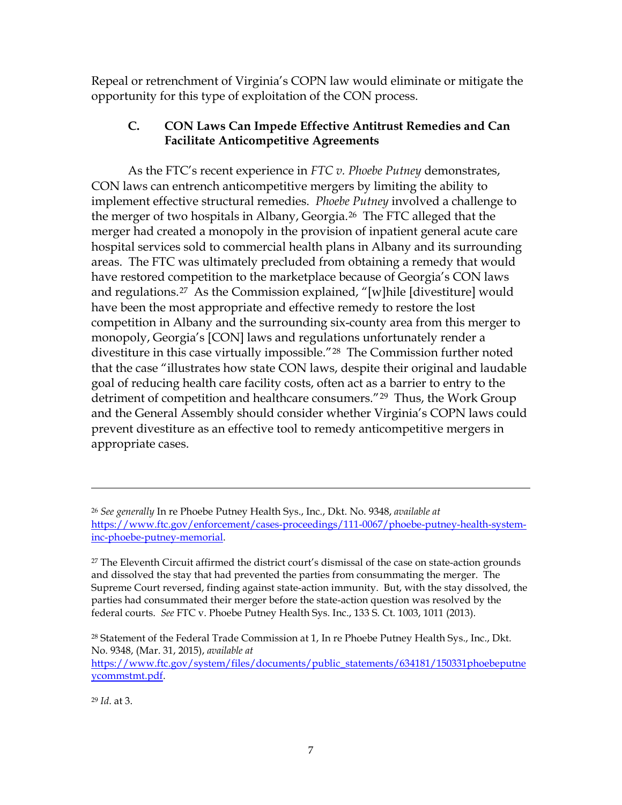Repeal or retrenchment of Virginia's COPN law would eliminate or mitigate the opportunity for this type of exploitation of the CON process.

## **C. CON Laws Can Impede Effective Antitrust Remedies and Can Facilitate Anticompetitive Agreements**

As the FTC's recent experience in *FTC v. Phoebe Putney* demonstrates, CON laws can entrench anticompetitive mergers by limiting the ability to implement effective structural remedies. *Phoebe Putney* involved a challenge to the merger of two hospitals in Albany, Georgia.26 The FTC alleged that the merger had created a monopoly in the provision of inpatient general acute care hospital services sold to commercial health plans in Albany and its surrounding areas. The FTC was ultimately precluded from obtaining a remedy that would have restored competition to the marketplace because of Georgia's CON laws and regulations.27 As the Commission explained, "[w]hile [divestiture] would have been the most appropriate and effective remedy to restore the lost competition in Albany and the surrounding six-county area from this merger to monopoly, Georgia's [CON] laws and regulations unfortunately render a divestiture in this case virtually impossible."28 The Commission further noted that the case "illustrates how state CON laws, despite their original and laudable goal of reducing health care facility costs, often act as a barrier to entry to the detriment of competition and healthcare consumers."29 Thus, the Work Group and the General Assembly should consider whether Virginia's COPN laws could prevent divestiture as an effective tool to remedy anticompetitive mergers in appropriate cases.

 $27$  The Eleventh Circuit affirmed the district court's dismissal of the case on state-action grounds and dissolved the stay that had prevented the parties from consummating the merger. The Supreme Court reversed, finding against state-action immunity. But, with the stay dissolved, the parties had consummated their merger before the state-action question was resolved by the federal courts. *See* FTC v. Phoebe Putney Health Sys. Inc., 133 S. Ct. 1003, 1011 (2013).

<sup>28</sup> Statement of the Federal Trade Commission at 1, In re Phoebe Putney Health Sys., Inc., Dkt. No. 9348, (Mar. 31, 2015), *available at* 

https://www.ftc.gov/system/files/documents/public\_statements/634181/150331phoebeputne ycommstmt.pdf.

<sup>29</sup> *Id*. at 3.

 $\overline{a}$ 

<sup>26</sup> *See generally* In re Phoebe Putney Health Sys., Inc*.*, Dkt. No. 9348, *available at*  https://www.ftc.gov/enforcement/cases-proceedings/111-0067/phoebe-putney-health-systeminc-phoebe-putney-memorial.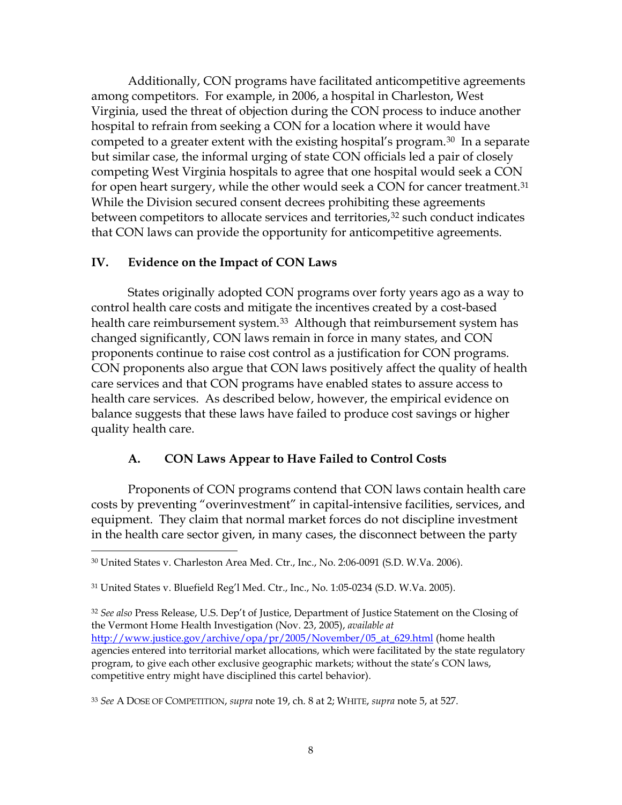Additionally, CON programs have facilitated anticompetitive agreements among competitors. For example, in 2006, a hospital in Charleston, West Virginia, used the threat of objection during the CON process to induce another hospital to refrain from seeking a CON for a location where it would have competed to a greater extent with the existing hospital's program.30 In a separate but similar case, the informal urging of state CON officials led a pair of closely competing West Virginia hospitals to agree that one hospital would seek a CON for open heart surgery, while the other would seek a CON for cancer treatment.<sup>31</sup> While the Division secured consent decrees prohibiting these agreements between competitors to allocate services and territories,<sup>32</sup> such conduct indicates that CON laws can provide the opportunity for anticompetitive agreements.

### **IV. Evidence on the Impact of CON Laws**

 $\overline{a}$ 

States originally adopted CON programs over forty years ago as a way to control health care costs and mitigate the incentives created by a cost-based health care reimbursement system.<sup>33</sup> Although that reimbursement system has changed significantly, CON laws remain in force in many states, and CON proponents continue to raise cost control as a justification for CON programs. CON proponents also argue that CON laws positively affect the quality of health care services and that CON programs have enabled states to assure access to health care services. As described below, however, the empirical evidence on balance suggests that these laws have failed to produce cost savings or higher quality health care.

### **A. CON Laws Appear to Have Failed to Control Costs**

Proponents of CON programs contend that CON laws contain health care costs by preventing "overinvestment" in capital-intensive facilities, services, and equipment. They claim that normal market forces do not discipline investment in the health care sector given, in many cases, the disconnect between the party

<sup>32</sup> *See also* Press Release, U.S. Dep't of Justice, Department of Justice Statement on the Closing of the Vermont Home Health Investigation (Nov. 23, 2005), *available at*  http://www.justice.gov/archive/opa/pr/2005/November/05\_at\_629.html (home health agencies entered into territorial market allocations, which were facilitated by the state regulatory program, to give each other exclusive geographic markets; without the state's CON laws, competitive entry might have disciplined this cartel behavior).

<sup>33</sup> *See* A DOSE OF COMPETITION, *supra* note 19, ch. 8 at 2; WHITE, *supra* note 5, at 527.

<sup>30</sup> United States v. Charleston Area Med. Ctr., Inc., No. 2:06-0091 (S.D. W.Va. 2006).

<sup>31</sup> United States v. Bluefield Reg'l Med. Ctr., Inc., No. 1:05-0234 (S.D. W.Va. 2005).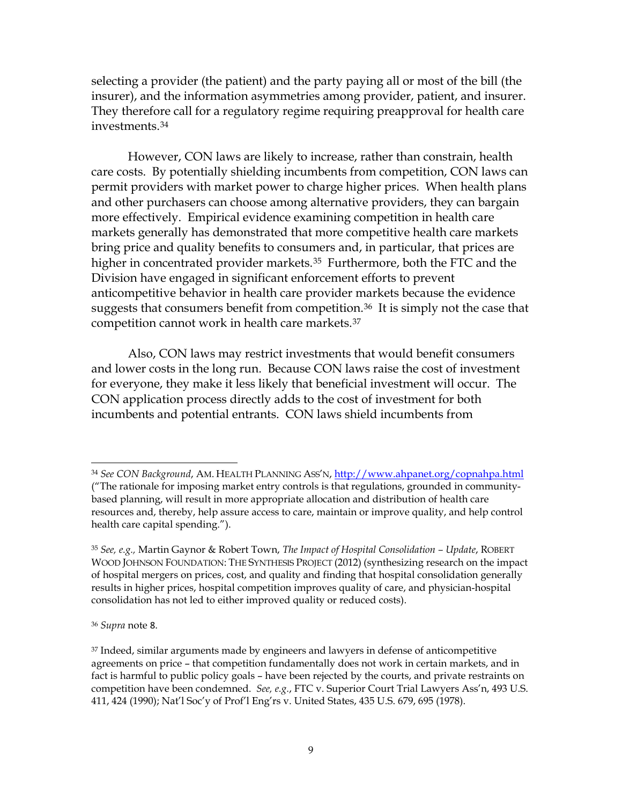selecting a provider (the patient) and the party paying all or most of the bill (the insurer), and the information asymmetries among provider, patient, and insurer. They therefore call for a regulatory regime requiring preapproval for health care investments.34

However, CON laws are likely to increase, rather than constrain, health care costs. By potentially shielding incumbents from competition, CON laws can permit providers with market power to charge higher prices. When health plans and other purchasers can choose among alternative providers, they can bargain more effectively. Empirical evidence examining competition in health care markets generally has demonstrated that more competitive health care markets bring price and quality benefits to consumers and, in particular, that prices are higher in concentrated provider markets.<sup>35</sup> Furthermore, both the FTC and the Division have engaged in significant enforcement efforts to prevent anticompetitive behavior in health care provider markets because the evidence suggests that consumers benefit from competition.36 It is simply not the case that competition cannot work in health care markets.37

Also, CON laws may restrict investments that would benefit consumers and lower costs in the long run. Because CON laws raise the cost of investment for everyone, they make it less likely that beneficial investment will occur. The CON application process directly adds to the cost of investment for both incumbents and potential entrants. CON laws shield incumbents from

<sup>36</sup> *Supra* note 8.

 $\overline{a}$ 

<sup>34</sup> *See CON Background*, AM. HEALTH PLANNING ASS'N, http://www.ahpanet.org/copnahpa.html ("The rationale for imposing market entry controls is that regulations, grounded in communitybased planning, will result in more appropriate allocation and distribution of health care resources and, thereby, help assure access to care, maintain or improve quality, and help control health care capital spending.").

<sup>35</sup> *See, e.g.,* Martin Gaynor & Robert Town, *The Impact of Hospital Consolidation – Update*, ROBERT WOOD JOHNSON FOUNDATION: THE SYNTHESIS PROJECT (2012) (synthesizing research on the impact of hospital mergers on prices, cost, and quality and finding that hospital consolidation generally results in higher prices, hospital competition improves quality of care, and physician-hospital consolidation has not led to either improved quality or reduced costs).

<sup>37</sup> Indeed, similar arguments made by engineers and lawyers in defense of anticompetitive agreements on price – that competition fundamentally does not work in certain markets, and in fact is harmful to public policy goals – have been rejected by the courts, and private restraints on competition have been condemned. *See, e.g.*, FTC v. Superior Court Trial Lawyers Ass'n, 493 U.S. 411, 424 (1990); Nat'l Soc'y of Prof'l Eng'rs v. United States, 435 U.S. 679, 695 (1978).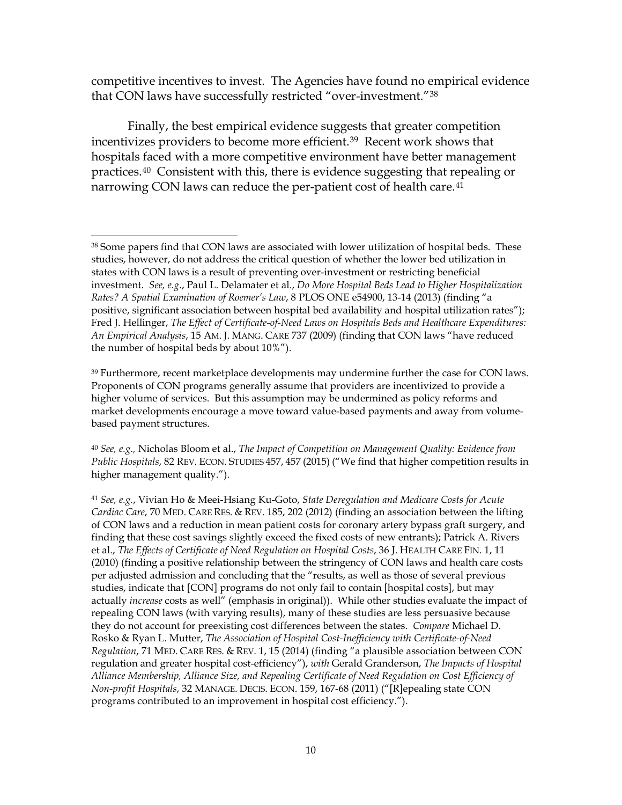competitive incentives to invest. The Agencies have found no empirical evidence that CON laws have successfully restricted "over-investment."38

Finally, the best empirical evidence suggests that greater competition incentivizes providers to become more efficient.39 Recent work shows that hospitals faced with a more competitive environment have better management practices.40 Consistent with this, there is evidence suggesting that repealing or narrowing CON laws can reduce the per-patient cost of health care.<sup>41</sup>

<sup>39</sup> Furthermore, recent marketplace developments may undermine further the case for CON laws. Proponents of CON programs generally assume that providers are incentivized to provide a higher volume of services. But this assumption may be undermined as policy reforms and market developments encourage a move toward value-based payments and away from volumebased payment structures.

<sup>40</sup> *See, e.g.,* Nicholas Bloom et al., *The Impact of Competition on Management Quality: Evidence from Public Hospitals*, 82 REV. ECON. STUDIES 457, 457 (2015) ("We find that higher competition results in higher management quality.").

<sup>41</sup> *See, e.g.*, Vivian Ho & Meei-Hsiang Ku-Goto, *State Deregulation and Medicare Costs for Acute Cardiac Care*, 70 MED. CARE RES. & REV. 185, 202 (2012) (finding an association between the lifting of CON laws and a reduction in mean patient costs for coronary artery bypass graft surgery, and finding that these cost savings slightly exceed the fixed costs of new entrants); Patrick A. Rivers et al., *The Effects of Certificate of Need Regulation on Hospital Costs*, 36 J. HEALTH CARE FIN. 1, 11 (2010) (finding a positive relationship between the stringency of CON laws and health care costs per adjusted admission and concluding that the "results, as well as those of several previous studies, indicate that [CON] programs do not only fail to contain [hospital costs], but may actually *increase* costs as well" (emphasis in original)). While other studies evaluate the impact of repealing CON laws (with varying results), many of these studies are less persuasive because they do not account for preexisting cost differences between the states. *Compare* Michael D. Rosko & Ryan L. Mutter, *The Association of Hospital Cost-Inefficiency with Certificate-of-Need Regulation*, 71 MED. CARE RES. & REV. 1, 15 (2014) (finding "a plausible association between CON regulation and greater hospital cost-efficiency"), *with* Gerald Granderson, *The Impacts of Hospital Alliance Membership, Alliance Size, and Repealing Certificate of Need Regulation on Cost Efficiency of Non-profit Hospitals*, 32 MANAGE. DECIS. ECON. 159, 167-68 (2011) ("[R]epealing state CON programs contributed to an improvement in hospital cost efficiency.").

 $\overline{a}$ <sup>38</sup> Some papers find that CON laws are associated with lower utilization of hospital beds. These studies, however, do not address the critical question of whether the lower bed utilization in states with CON laws is a result of preventing over-investment or restricting beneficial investment. *See, e.g.*, Paul L. Delamater et al., *Do More Hospital Beds Lead to Higher Hospitalization Rates? A Spatial Examination of Roemer's Law*, 8 PLOS ONE e54900, 13-14 (2013) (finding "a positive, significant association between hospital bed availability and hospital utilization rates"); Fred J. Hellinger, *The Effect of Certificate-of-Need Laws on Hospitals Beds and Healthcare Expenditures: An Empirical Analysis*, 15 AM. J. MANG. CARE 737 (2009) (finding that CON laws "have reduced the number of hospital beds by about 10%").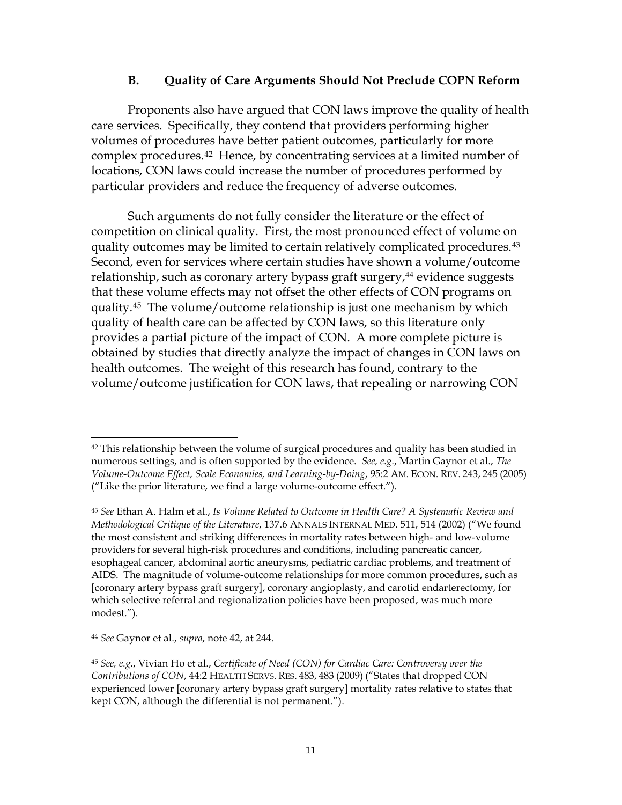#### **B. Quality of Care Arguments Should Not Preclude COPN Reform**

Proponents also have argued that CON laws improve the quality of health care services. Specifically, they contend that providers performing higher volumes of procedures have better patient outcomes, particularly for more complex procedures.42 Hence, by concentrating services at a limited number of locations, CON laws could increase the number of procedures performed by particular providers and reduce the frequency of adverse outcomes.

Such arguments do not fully consider the literature or the effect of competition on clinical quality. First, the most pronounced effect of volume on quality outcomes may be limited to certain relatively complicated procedures.43 Second, even for services where certain studies have shown a volume/outcome relationship, such as coronary artery bypass graft surgery,<sup>44</sup> evidence suggests that these volume effects may not offset the other effects of CON programs on quality.45 The volume/outcome relationship is just one mechanism by which quality of health care can be affected by CON laws, so this literature only provides a partial picture of the impact of CON. A more complete picture is obtained by studies that directly analyze the impact of changes in CON laws on health outcomes. The weight of this research has found, contrary to the volume/outcome justification for CON laws, that repealing or narrowing CON

<sup>44</sup> *See* Gaynor et al., *supra*, note 42, at 244.

 $\overline{a}$ 

 $42$  This relationship between the volume of surgical procedures and quality has been studied in numerous settings, and is often supported by the evidence. *See, e.g.*, Martin Gaynor et al., *The Volume-Outcome Effect, Scale Economies, and Learning-by-Doing*, 95:2 AM. ECON. REV. 243, 245 (2005) ("Like the prior literature, we find a large volume-outcome effect.").

<sup>43</sup> *See* Ethan A. Halm et al., *Is Volume Related to Outcome in Health Care? A Systematic Review and Methodological Critique of the Literature*, 137.6 ANNALS INTERNAL MED. 511, 514 (2002) ("We found the most consistent and striking differences in mortality rates between high- and low-volume providers for several high-risk procedures and conditions, including pancreatic cancer, esophageal cancer, abdominal aortic aneurysms, pediatric cardiac problems, and treatment of AIDS. The magnitude of volume-outcome relationships for more common procedures, such as [coronary artery bypass graft surgery], coronary angioplasty, and carotid endarterectomy, for which selective referral and regionalization policies have been proposed, was much more modest.").

<sup>45</sup> *See, e.g.*, Vivian Ho et al., *Certificate of Need (CON) for Cardiac Care: Controversy over the Contributions of CON*, 44:2 HEALTH SERVS. RES. 483, 483 (2009) ("States that dropped CON experienced lower [coronary artery bypass graft surgery] mortality rates relative to states that kept CON, although the differential is not permanent.").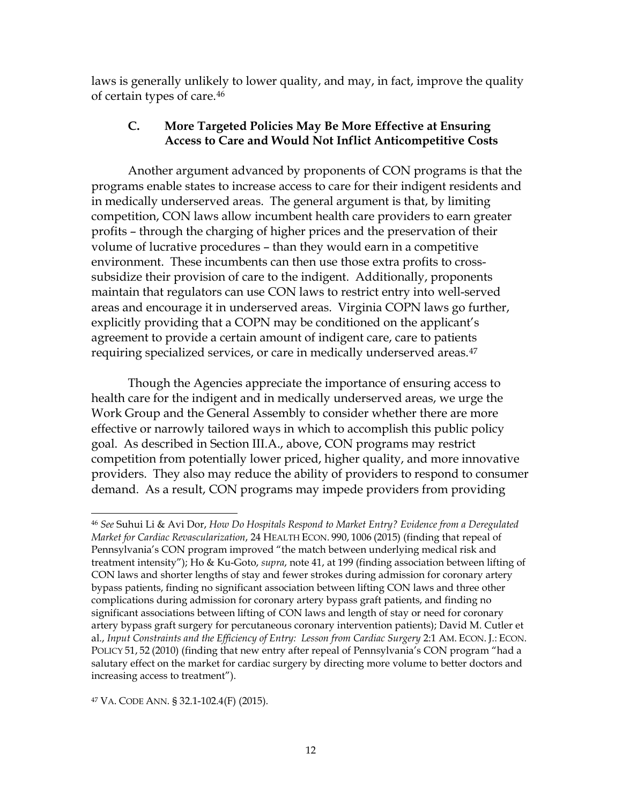laws is generally unlikely to lower quality, and may, in fact, improve the quality of certain types of care.46

## **C. More Targeted Policies May Be More Effective at Ensuring Access to Care and Would Not Inflict Anticompetitive Costs**

Another argument advanced by proponents of CON programs is that the programs enable states to increase access to care for their indigent residents and in medically underserved areas. The general argument is that, by limiting competition, CON laws allow incumbent health care providers to earn greater profits – through the charging of higher prices and the preservation of their volume of lucrative procedures – than they would earn in a competitive environment. These incumbents can then use those extra profits to crosssubsidize their provision of care to the indigent. Additionally, proponents maintain that regulators can use CON laws to restrict entry into well-served areas and encourage it in underserved areas. Virginia COPN laws go further, explicitly providing that a COPN may be conditioned on the applicant's agreement to provide a certain amount of indigent care, care to patients requiring specialized services, or care in medically underserved areas.<sup>47</sup>

Though the Agencies appreciate the importance of ensuring access to health care for the indigent and in medically underserved areas, we urge the Work Group and the General Assembly to consider whether there are more effective or narrowly tailored ways in which to accomplish this public policy goal. As described in Section III.A., above, CON programs may restrict competition from potentially lower priced, higher quality, and more innovative providers. They also may reduce the ability of providers to respond to consumer demand. As a result, CON programs may impede providers from providing

 $\overline{a}$ <sup>46</sup> *See* Suhui Li & Avi Dor, *How Do Hospitals Respond to Market Entry? Evidence from a Deregulated Market for Cardiac Revascularization*, 24 HEALTH ECON. 990, 1006 (2015) (finding that repeal of Pennsylvania's CON program improved "the match between underlying medical risk and treatment intensity"); Ho & Ku-Goto, *supra*, note 41, at 199 (finding association between lifting of CON laws and shorter lengths of stay and fewer strokes during admission for coronary artery bypass patients, finding no significant association between lifting CON laws and three other complications during admission for coronary artery bypass graft patients, and finding no significant associations between lifting of CON laws and length of stay or need for coronary artery bypass graft surgery for percutaneous coronary intervention patients); David M. Cutler et al., *Input Constraints and the Efficiency of Entry: Lesson from Cardiac Surgery* 2:1 AM. ECON. J.: ECON. POLICY 51, 52 (2010) (finding that new entry after repeal of Pennsylvania's CON program "had a salutary effect on the market for cardiac surgery by directing more volume to better doctors and increasing access to treatment").

<sup>47</sup> VA. CODE ANN. § 32.1-102.4(F) (2015).